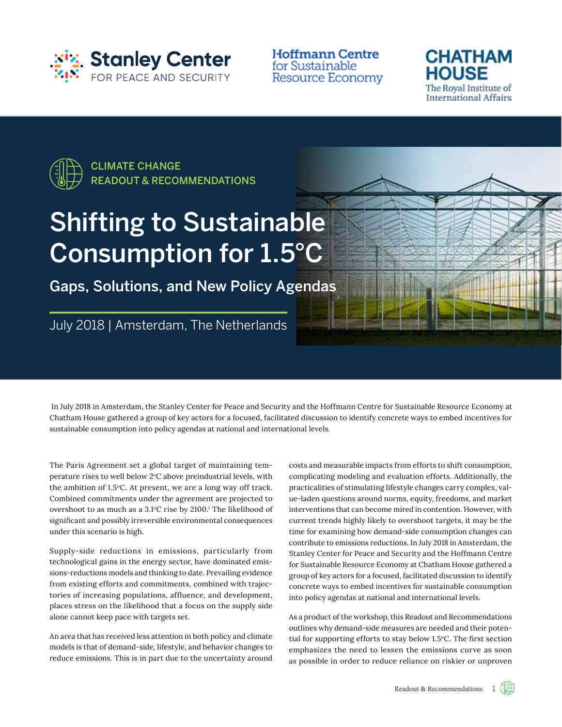

**Hoffmann Centre** for Sustainable **Resource Economy** 





# Shifting to Sustainable Consumption for 1.5°C

Gaps, Solutions, and New Policy Agendas



 In July 2018 in Amsterdam, the Stanley Center for Peace and Security and the Hoffmann Centre for Sustainable Resource Economy at Chatham House gathered a group of key actors for a focused, facilitated discussion to identify concrete ways to embed incentives for sustainable consumption into policy agendas at national and international levels.

The Paris Agreement set a global target of maintaining temperature rises to well below  $2^{\circ}$ C above preindustrial levels, with the ambition of 1.5°C. At present, we are a long way off track. Combined commitments under the agreement are projected to overshoot to as much as a  $3.1^{\circ}$ C rise by  $2100$ .<sup>1</sup> The likelihood of significant and possibly irreversible environmental consequences under this scenario is high.

Supply-side reductions in emissions, particularly from technological gains in the energy sector, have dominated emissions-reductions models and thinking to date. Prevailing evidence from existing efforts and commitments, combined with trajectories of increasing populations, affluence, and development, places stress on the likelihood that a focus on the supply side alone cannot keep pace with targets set.

An area that has received less attention in both policy and climate models is that of demand-side, lifestyle, and behavior changes to reduce emissions. This is in part due to the uncertainty around costs and measurable impacts from efforts to shift consumption, complicating modeling and evaluation efforts. Additionally, the practicalities of stimulating lifestyle changes carry complex, value-laden questions around norms, equity, freedoms, and market interventions that can become mired in contention. However, with current trends highly likely to overshoot targets, it may be the time for examining how demand-side consumption changes can contribute to emissions reductions. In July 2018 in Amsterdam, the Stanley Center for Peace and Security and the Hoffmann Centre for Sustainable Resource Economy at Chatham House gathered a group of key actors for a focused, facilitated discussion to identify concrete ways to embed incentives for sustainable consumption into policy agendas at national and international levels.

As a product of the workshop, this Readout and Recommendations outlines why demand-side measures are needed and their potential for supporting efforts to stay below 1.5°C. The first section emphasizes the need to lessen the emissions curve as soon as possible in order to reduce reliance on riskier or unproven

Readout & Recommendations 1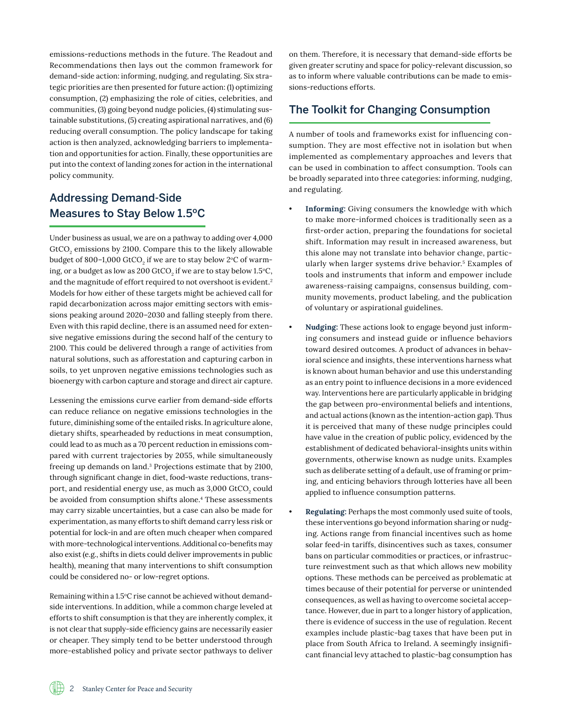emissions-reductions methods in the future. The Readout and Recommendations then lays out the common framework for demand-side action: informing, nudging, and regulating. Six strategic priorities are then presented for future action: (1) optimizing consumption, (2) emphasizing the role of cities, celebrities, and communities, (3) going beyond nudge policies, (4) stimulating sustainable substitutions, (5) creating aspirational narratives, and (6) reducing overall consumption. The policy landscape for taking action is then analyzed, acknowledging barriers to implementation and opportunities for action. Finally, these opportunities are put into the context of landing zones for action in the international policy community.

## Addressing Demand-Side Measures to Stay Below 1.5ºC

Under business as usual, we are on a pathway to adding over 4,000  $\rm{GtCO}_{2}$  emissions by 2100. Compare this to the likely allowable budget of 800–1,000 GtCO $_{\rm 2}$  if we are to stay below 2°C of warming, or a budget as low as 200 GtCO $_2$  if we are to stay below 1.5°C, and the magnitude of effort required to not overshoot is evident.<sup>2</sup> Models for how either of these targets might be achieved call for rapid decarbonization across major emitting sectors with emissions peaking around 2020–2030 and falling steeply from there. Even with this rapid decline, there is an assumed need for extensive negative emissions during the second half of the century to 2100. This could be delivered through a range of activities from natural solutions, such as afforestation and capturing carbon in soils, to yet unproven negative emissions technologies such as bioenergy with carbon capture and storage and direct air capture.

Lessening the emissions curve earlier from demand-side efforts can reduce reliance on negative emissions technologies in the future, diminishing some of the entailed risks. In agriculture alone, dietary shifts, spearheaded by reductions in meat consumption, could lead to as much as a 70 percent reduction in emissions compared with current trajectories by 2055, while simultaneously freeing up demands on land.3 Projections estimate that by 2100, through significant change in diet, food-waste reductions, transport, and residential energy use, as much as 3,000 GtCO $_{\rm _2}$  could be avoided from consumption shifts alone.<sup>4</sup> These assessments may carry sizable uncertainties, but a case can also be made for experimentation, as many efforts to shift demand carry less risk or potential for lock-in and are often much cheaper when compared with more-technological interventions. Additional co-benefits may also exist (e.g., shifts in diets could deliver improvements in public health), meaning that many interventions to shift consumption could be considered no- or low-regret options.

Remaining within a 1.5°C rise cannot be achieved without demandside interventions. In addition, while a common charge leveled at efforts to shift consumption is that they are inherently complex, it is not clear that supply-side efficiency gains are necessarily easier or cheaper. They simply tend to be better understood through more-established policy and private sector pathways to deliver on them. Therefore, it is necessary that demand-side efforts be given greater scrutiny and space for policy-relevant discussion, so as to inform where valuable contributions can be made to emissions-reductions efforts.

# The Toolkit for Changing Consumption

A number of tools and frameworks exist for influencing consumption. They are most effective not in isolation but when implemented as complementary approaches and levers that can be used in combination to affect consumption. Tools can be broadly separated into three categories: informing, nudging, and regulating.

- Informing: Giving consumers the knowledge with which to make more-informed choices is traditionally seen as a first-order action, preparing the foundations for societal shift. Information may result in increased awareness, but this alone may not translate into behavior change, particularly when larger systems drive behavior.5 Examples of tools and instruments that inform and empower include awareness-raising campaigns, consensus building, community movements, product labeling, and the publication of voluntary or aspirational guidelines.
- **Nudging:** These actions look to engage beyond just informing consumers and instead guide or influence behaviors toward desired outcomes. A product of advances in behavioral science and insights, these interventions harness what is known about human behavior and use this understanding as an entry point to influence decisions in a more evidenced way. Interventions here are particularly applicable in bridging the gap between pro-environmental beliefs and intentions, and actual actions (known as the intention-action gap). Thus it is perceived that many of these nudge principles could have value in the creation of public policy, evidenced by the establishment of dedicated behavioral-insights units within governments, otherwise known as nudge units. Examples such as deliberate setting of a default, use of framing or priming, and enticing behaviors through lotteries have all been applied to influence consumption patterns.
- **Regulating:** Perhaps the most commonly used suite of tools, these interventions go beyond information sharing or nudging. Actions range from financial incentives such as home solar feed-in tariffs, disincentives such as taxes, consumer bans on particular commodities or practices, or infrastructure reinvestment such as that which allows new mobility options. These methods can be perceived as problematic at times because of their potential for perverse or unintended consequences, as well as having to overcome societal acceptance. However, due in part to a longer history of application, there is evidence of success in the use of regulation. Recent examples include plastic-bag taxes that have been put in place from South Africa to Ireland. A seemingly insignificant financial levy attached to plastic-bag consumption has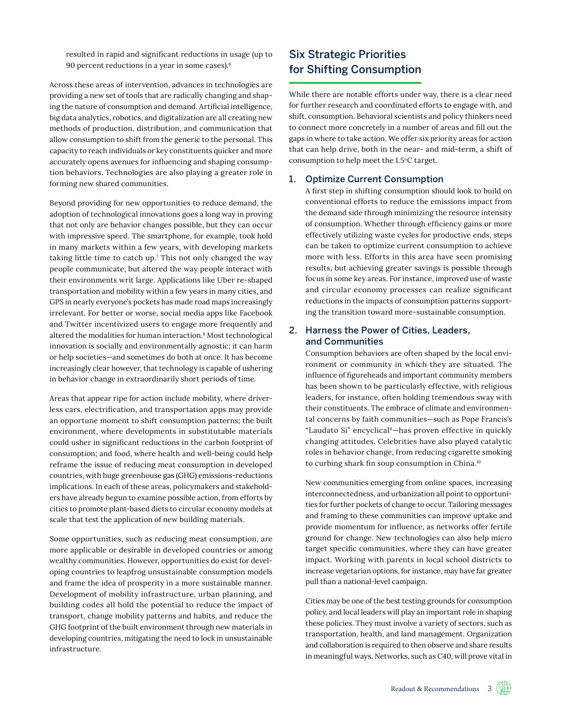resulted in rapid and significant reductions in usage (up to 90 percent reductions in a year in some cases).6

Across these areas of intervention, advances in technologies are providing a new set of tools that are radically changing and shaping the nature of consumption and demand. Artificial intelligence, big data analytics, robotics, and digitalization are all creating new methods of production, distribution, and communication that allow consumption to shift from the generic to the personal. This capacity to reach individuals or key constituents quicker and more accurately opens avenues for influencing and shaping consumption behaviors. Technologies are also playing a greater role in forming new shared communities.

Beyond providing for new opportunities to reduce demand, the adoption of technological innovations goes a long way in proving that not only are behavior changes possible, but they can occur with impressive speed. The smartphone, for example, took hold in many markets within a few years, with developing markets taking little time to catch up.7 This not only changed the way people communicate, but altered the way people interact with their environments writ large. Applications like Uber re-shaped transportation and mobility within a few years in many cities, and GPS in nearly everyone's pockets has made road maps increasingly irrelevant. For better or worse, social media apps like Facebook and Twitter incentivized users to engage more frequently and altered the modalities for human interaction.8 Most technological innovation is socially and environmentally agnostic; it can harm or help societies—and sometimes do both at once. It has become increasingly clear however, that technology is capable of ushering in behavior change in extraordinarily short periods of time.

Areas that appear ripe for action include mobility, where driverless cars, electrification, and transportation apps may provide an opportune moment to shift consumption patterns; the built environment, where developments in substitutable materials could usher in significant reductions in the carbon footprint of consumption; and food, where health and well-being could help reframe the issue of reducing meat consumption in developed countries, with huge greenhouse gas (GHG) emissions-reductions implications. In each of these areas, policymakers and stakeholders have already begun to examine possible action, from efforts by cities to promote plant-based diets to circular economy models at scale that test the application of new building materials.

Some opportunities, such as reducing meat consumption, are more applicable or desirable in developed countries or among wealthy communities. However, opportunities do exist for developing countries to leapfrog unsustainable consumption models and frame the idea of prosperity in a more sustainable manner. Development of mobility infrastructure, urban planning, and building codes all hold the potential to reduce the impact of transport, change mobility patterns and habits, and reduce the GHG footprint of the built environment through new materials in developing countries, mitigating the need to lock in unsustainable infrastructure.

## Six Strategic Priorities for Shifting Consumption

While there are notable efforts under way, there is a clear need for further research and coordinated efforts to engage with, and shift, consumption. Behavioral scientists and policy thinkers need to connect more concretely in a number of areas and fill out the gaps in where to take action. We offer six priority areas for action that can help drive, both in the near- and mid-term, a shift of consumption to help meet the 1.5°C target.

#### 1. Optimize Current Consumption

A first step in shifting consumption should look to build on conventional efforts to reduce the emissions impact from the demand side through minimizing the resource intensity of consumption. Whether through efficiency gains or more effectively utilizing waste cycles for productive ends, steps can be taken to optimize current consumption to achieve more with less. Efforts in this area have seen promising results, but achieving greater savings is possible through focus in some key areas. For instance, improved use of waste and circular economy processes can realize significant reductions in the impacts of consumption patterns supporting the transition toward more-sustainable consumption.

#### 2. Harness the Power of Cities, Leaders, and Communities

Consumption behaviors are often shaped by the local environment or community in which they are situated. The influence of figureheads and important community members has been shown to be particularly effective, with religious leaders, for instance, often holding tremendous sway with their constituents. The embrace of climate and environmental concerns by faith communities—such as Pope Francis's "Laudato Si" encyclical9—has proven effective in quickly changing attitudes. Celebrities have also played catalytic roles in behavior change, from reducing cigarette smoking to curbing shark fin soup consumption in China.<sup>10</sup>

New communities emerging from online spaces, increasing interconnectedness, and urbanization all point to opportunities for further pockets of change to occur. Tailoring messages and framing to these communities can improve uptake and provide momentum for influence, as networks offer fertile ground for change. New technologies can also help micro target specific communities, where they can have greater impact. Working with parents in local school districts to increase vegetarian options, for instance, may have far greater pull than a national-level campaign.

Cities may be one of the best testing grounds for consumption policy, and local leaders will play an important role in shaping these policies. They must involve a variety of sectors, such as transportation, health, and land management. Organization and collaboration is required to then observe and share results in meaningful ways. Networks, such as C40, will prove vital in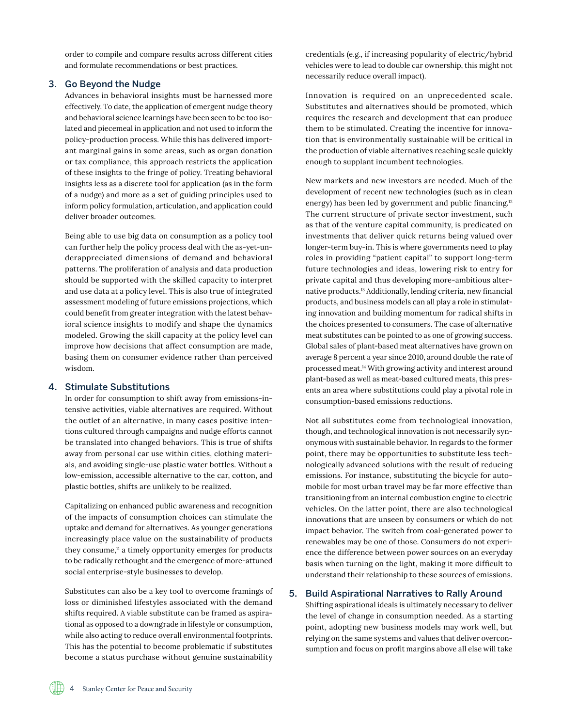order to compile and compare results across different cities and formulate recommendations or best practices.

#### 3. Go Beyond the Nudge

Advances in behavioral insights must be harnessed more effectively. To date, the application of emergent nudge theory and behavioral science learnings have been seen to be too isolated and piecemeal in application and not used to inform the policy-production process. While this has delivered important marginal gains in some areas, such as organ donation or tax compliance, this approach restricts the application of these insights to the fringe of policy. Treating behavioral insights less as a discrete tool for application (as in the form of a nudge) and more as a set of guiding principles used to inform policy formulation, articulation, and application could deliver broader outcomes.

Being able to use big data on consumption as a policy tool can further help the policy process deal with the as-yet-underappreciated dimensions of demand and behavioral patterns. The proliferation of analysis and data production should be supported with the skilled capacity to interpret and use data at a policy level. This is also true of integrated assessment modeling of future emissions projections, which could benefit from greater integration with the latest behavioral science insights to modify and shape the dynamics modeled. Growing the skill capacity at the policy level can improve how decisions that affect consumption are made, basing them on consumer evidence rather than perceived wisdom.

#### 4. Stimulate Substitutions

In order for consumption to shift away from emissions-intensive activities, viable alternatives are required. Without the outlet of an alternative, in many cases positive intentions cultured through campaigns and nudge efforts cannot be translated into changed behaviors. This is true of shifts away from personal car use within cities, clothing materials, and avoiding single-use plastic water bottles. Without a low-emission, accessible alternative to the car, cotton, and plastic bottles, shifts are unlikely to be realized.

Capitalizing on enhanced public awareness and recognition of the impacts of consumption choices can stimulate the uptake and demand for alternatives. As younger generations increasingly place value on the sustainability of products they consume, $n = 1$  a timely opportunity emerges for products to be radically rethought and the emergence of more-attuned social enterprise-style businesses to develop.

Substitutes can also be a key tool to overcome framings of loss or diminished lifestyles associated with the demand shifts required. A viable substitute can be framed as aspirational as opposed to a downgrade in lifestyle or consumption, while also acting to reduce overall environmental footprints. This has the potential to become problematic if substitutes become a status purchase without genuine sustainability

credentials (e.g., if increasing popularity of electric/hybrid vehicles were to lead to double car ownership, this might not necessarily reduce overall impact).

Innovation is required on an unprecedented scale. Substitutes and alternatives should be promoted, which requires the research and development that can produce them to be stimulated. Creating the incentive for innovation that is environmentally sustainable will be critical in the production of viable alternatives reaching scale quickly enough to supplant incumbent technologies.

New markets and new investors are needed. Much of the development of recent new technologies (such as in clean energy) has been led by government and public financing.<sup>12</sup> The current structure of private sector investment, such as that of the venture capital community, is predicated on investments that deliver quick returns being valued over longer-term buy-in. This is where governments need to play roles in providing "patient capital" to support long-term future technologies and ideas, lowering risk to entry for private capital and thus developing more-ambitious alternative products.13 Additionally, lending criteria, new financial products, and business models can all play a role in stimulating innovation and building momentum for radical shifts in the choices presented to consumers. The case of alternative meat substitutes can be pointed to as one of growing success. Global sales of plant-based meat alternatives have grown on average 8 percent a year since 2010, around double the rate of processed meat.14 With growing activity and interest around plant-based as well as meat-based cultured meats, this presents an area where substitutions could play a pivotal role in consumption-based emissions reductions.

Not all substitutes come from technological innovation, though, and technological innovation is not necessarily synonymous with sustainable behavior. In regards to the former point, there may be opportunities to substitute less technologically advanced solutions with the result of reducing emissions. For instance, substituting the bicycle for automobile for most urban travel may be far more effective than transitioning from an internal combustion engine to electric vehicles. On the latter point, there are also technological innovations that are unseen by consumers or which do not impact behavior. The switch from coal-generated power to renewables may be one of those. Consumers do not experience the difference between power sources on an everyday basis when turning on the light, making it more difficult to understand their relationship to these sources of emissions.

#### 5. Build Aspirational Narratives to Rally Around

Shifting aspirational ideals is ultimately necessary to deliver the level of change in consumption needed. As a starting point, adopting new business models may work well, but relying on the same systems and values that deliver overconsumption and focus on profit margins above all else will take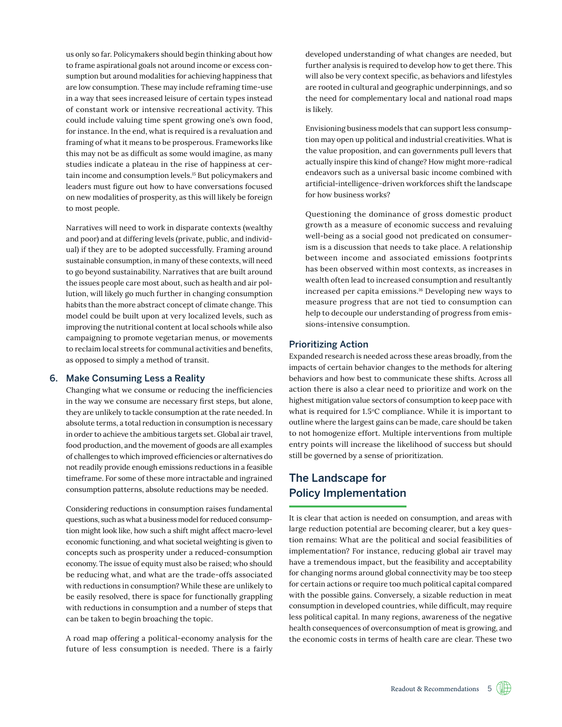us only so far. Policymakers should begin thinking about how to frame aspirational goals not around income or excess consumption but around modalities for achieving happiness that are low consumption. These may include reframing time-use in a way that sees increased leisure of certain types instead of constant work or intensive recreational activity. This could include valuing time spent growing one's own food, for instance. In the end, what is required is a revaluation and framing of what it means to be prosperous. Frameworks like this may not be as difficult as some would imagine, as many studies indicate a plateau in the rise of happiness at certain income and consumption levels.15 But policymakers and leaders must figure out how to have conversations focused on new modalities of prosperity, as this will likely be foreign to most people.

Narratives will need to work in disparate contexts (wealthy and poor) and at differing levels (private, public, and individual) if they are to be adopted successfully. Framing around sustainable consumption, in many of these contexts, will need to go beyond sustainability. Narratives that are built around the issues people care most about, such as health and air pollution, will likely go much further in changing consumption habits than the more abstract concept of climate change. This model could be built upon at very localized levels, such as improving the nutritional content at local schools while also campaigning to promote vegetarian menus, or movements to reclaim local streets for communal activities and benefits, as opposed to simply a method of transit.

#### 6. Make Consuming Less a Reality

Changing what we consume or reducing the inefficiencies in the way we consume are necessary first steps, but alone, they are unlikely to tackle consumption at the rate needed. In absolute terms, a total reduction in consumption is necessary in order to achieve the ambitious targets set. Global air travel, food production, and the movement of goods are all examples of challenges to which improved efficiencies or alternatives do not readily provide enough emissions reductions in a feasible timeframe. For some of these more intractable and ingrained consumption patterns, absolute reductions may be needed.

Considering reductions in consumption raises fundamental questions, such as what a business model for reduced consumption might look like, how such a shift might affect macro-level economic functioning, and what societal weighting is given to concepts such as prosperity under a reduced-consumption economy. The issue of equity must also be raised; who should be reducing what, and what are the trade-offs associated with reductions in consumption? While these are unlikely to be easily resolved, there is space for functionally grappling with reductions in consumption and a number of steps that can be taken to begin broaching the topic.

A road map offering a political-economy analysis for the future of less consumption is needed. There is a fairly developed understanding of what changes are needed, but further analysis is required to develop how to get there. This will also be very context specific, as behaviors and lifestyles are rooted in cultural and geographic underpinnings, and so the need for complementary local and national road maps is likely.

Envisioning business models that can support less consumption may open up political and industrial creativities. What is the value proposition, and can governments pull levers that actually inspire this kind of change? How might more-radical endeavors such as a universal basic income combined with artificial-intelligence-driven workforces shift the landscape for how business works?

Questioning the dominance of gross domestic product growth as a measure of economic success and revaluing well-being as a social good not predicated on consumerism is a discussion that needs to take place. A relationship between income and associated emissions footprints has been observed within most contexts, as increases in wealth often lead to increased consumption and resultantly increased per capita emissions.16 Developing new ways to measure progress that are not tied to consumption can help to decouple our understanding of progress from emissions-intensive consumption.

#### Prioritizing Action

Expanded research is needed across these areas broadly, from the impacts of certain behavior changes to the methods for altering behaviors and how best to communicate these shifts. Across all action there is also a clear need to prioritize and work on the highest mitigation value sectors of consumption to keep pace with what is required for  $1.5^{\circ}$ C compliance. While it is important to outline where the largest gains can be made, care should be taken to not homogenize effort. Multiple interventions from multiple entry points will increase the likelihood of success but should still be governed by a sense of prioritization.

## The Landscape for Policy Implementation

It is clear that action is needed on consumption, and areas with large reduction potential are becoming clearer, but a key question remains: What are the political and social feasibilities of implementation? For instance, reducing global air travel may have a tremendous impact, but the feasibility and acceptability for changing norms around global connectivity may be too steep for certain actions or require too much political capital compared with the possible gains. Conversely, a sizable reduction in meat consumption in developed countries, while difficult, may require less political capital. In many regions, awareness of the negative health consequences of overconsumption of meat is growing, and the economic costs in terms of health care are clear. These two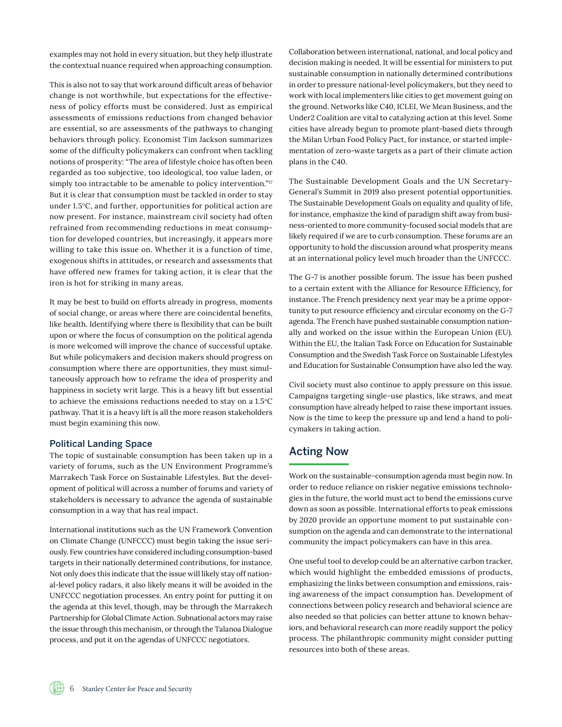examples may not hold in every situation, but they help illustrate the contextual nuance required when approaching consumption.

This is also not to say that work around difficult areas of behavior change is not worthwhile, but expectations for the effectiveness of policy efforts must be considered. Just as empirical assessments of emissions reductions from changed behavior are essential, so are assessments of the pathways to changing behaviors through policy. Economist Tim Jackson summarizes some of the difficulty policymakers can confront when tackling notions of prosperity: "The area of lifestyle choice has often been regarded as too subjective, too ideological, too value laden, or simply too intractable to be amenable to policy intervention."<sup>17</sup> But it is clear that consumption must be tackled in order to stay under 1.5°C, and further, opportunities for political action are now present. For instance, mainstream civil society had often refrained from recommending reductions in meat consumption for developed countries, but increasingly, it appears more willing to take this issue on. Whether it is a function of time, exogenous shifts in attitudes, or research and assessments that have offered new frames for taking action, it is clear that the iron is hot for striking in many areas.

It may be best to build on efforts already in progress, moments of social change, or areas where there are coincidental benefits, like health. Identifying where there is flexibility that can be built upon or where the focus of consumption on the political agenda is more welcomed will improve the chance of successful uptake. But while policymakers and decision makers should progress on consumption where there are opportunities, they must simultaneously approach how to reframe the idea of prosperity and happiness in society writ large. This is a heavy lift but essential to achieve the emissions reductions needed to stay on a  $1.5^{\circ}$ C pathway. That it is a heavy lift is all the more reason stakeholders must begin examining this now.

#### Political Landing Space

The topic of sustainable consumption has been taken up in a variety of forums, such as the UN Environment Programme's Marrakech Task Force on Sustainable Lifestyles. But the development of political will across a number of forums and variety of stakeholders is necessary to advance the agenda of sustainable consumption in a way that has real impact.

International institutions such as the UN Framework Convention on Climate Change (UNFCCC) must begin taking the issue seriously. Few countries have considered including consumption-based targets in their nationally determined contributions, for instance. Not only does this indicate that the issue will likely stay off national-level policy radars, it also likely means it will be avoided in the UNFCCC negotiation processes. An entry point for putting it on the agenda at this level, though, may be through the Marrakech Partnership for Global Climate Action. Subnational actors may raise the issue through this mechanism, or through the Talanoa Dialogue process, and put it on the agendas of UNFCCC negotiators.

Collaboration between international, national, and local policy and decision making is needed. It will be essential for ministers to put sustainable consumption in nationally determined contributions in order to pressure national-level policymakers, but they need to work with local implementers like cities to get movement going on the ground. Networks like C40, ICLEI, We Mean Business, and the Under2 Coalition are vital to catalyzing action at this level. Some cities have already begun to promote plant-based diets through the Milan Urban Food Policy Pact, for instance, or started implementation of zero-waste targets as a part of their climate action plans in the C40.

The Sustainable Development Goals and the UN Secretary-General's Summit in 2019 also present potential opportunities. The Sustainable Development Goals on equality and quality of life, for instance, emphasize the kind of paradigm shift away from business-oriented to more community-focused social models that are likely required if we are to curb consumption. These forums are an opportunity to hold the discussion around what prosperity means at an international policy level much broader than the UNFCCC.

The G-7 is another possible forum. The issue has been pushed to a certain extent with the Alliance for Resource Efficiency, for instance. The French presidency next year may be a prime opportunity to put resource efficiency and circular economy on the G-7 agenda. The French have pushed sustainable consumption nationally and worked on the issue within the European Union (EU). Within the EU, the Italian Task Force on Education for Sustainable Consumption and the Swedish Task Force on Sustainable Lifestyles and Education for Sustainable Consumption have also led the way.

Civil society must also continue to apply pressure on this issue. Campaigns targeting single-use plastics, like straws, and meat consumption have already helped to raise these important issues. Now is the time to keep the pressure up and lend a hand to policymakers in taking action.

## Acting Now

Work on the sustainable-consumption agenda must begin now. In order to reduce reliance on riskier negative emissions technologies in the future, the world must act to bend the emissions curve down as soon as possible. International efforts to peak emissions by 2020 provide an opportune moment to put sustainable consumption on the agenda and can demonstrate to the international community the impact policymakers can have in this area.

One useful tool to develop could be an alternative carbon tracker, which would highlight the embedded emissions of products, emphasizing the links between consumption and emissions, raising awareness of the impact consumption has. Development of connections between policy research and behavioral science are also needed so that policies can better attune to known behaviors, and behavioral research can more readily support the policy process. The philanthropic community might consider putting resources into both of these areas.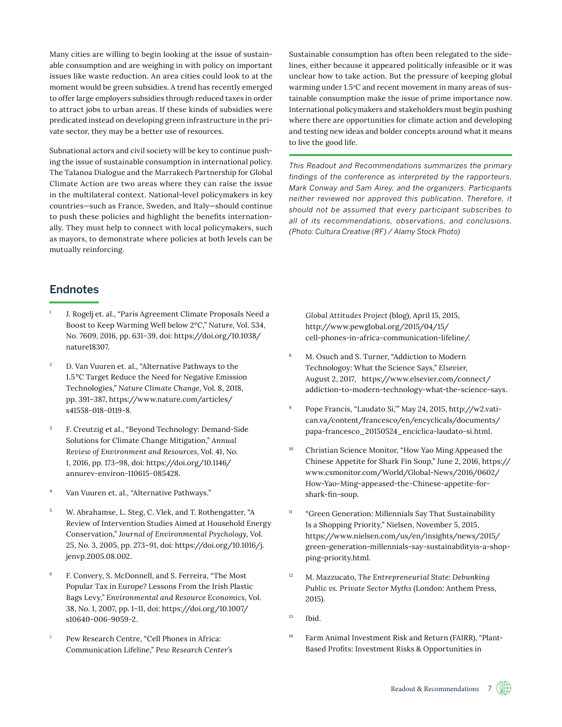Many cities are willing to begin looking at the issue of sustainable consumption and are weighing in with policy on important issues like waste reduction. An area cities could look to at the moment would be green subsidies. A trend has recently emerged to offer large employers subsidies through reduced taxes in order to attract jobs to urban areas. If these kinds of subsidies were predicated instead on developing green infrastructure in the private sector, they may be a better use of resources.

Subnational actors and civil society will be key to continue pushing the issue of sustainable consumption in international policy. The Talanoa Dialogue and the Marrakech Partnership for Global Climate Action are two areas where they can raise the issue in the multilateral context. National-level policymakers in key countries—such as France, Sweden, and Italy—should continue to push these policies and highlight the benefits internationally. They must help to connect with local policymakers, such as mayors, to demonstrate where policies at both levels can be mutually reinforcing.

Sustainable consumption has often been relegated to the sidelines, either because it appeared politically infeasible or it was unclear how to take action. But the pressure of keeping global warming under 1.5°C and recent movement in many areas of sustainable consumption make the issue of prime importance now. International policymakers and stakeholders must begin pushing where there are opportunities for climate action and developing and testing new ideas and bolder concepts around what it means to live the good life.

*This Readout and Recommendations summarizes the primary findings of the conference as interpreted by the rapporteurs, Mark Conway and Sam Airey, and the organizers. Participants neither reviewed nor approved this publication. Therefore, it should not be assumed that every participant subscribes to all of its recommendations, observations, and conclusions. (Photo: Cultura Creative (RF) / Alamy Stock Photo)*

## **Endnotes**

- J. Rogelj et. al., "Paris Agreement Climate Proposals Need a Boost to Keep Warming Well below 2°C," *Nature*, Vol. 534, No. 7609, 2016, pp. 631–39, doi: [https://doi.org/10.1038/](https://doi.org/10.1038/nature18307) [nature18307.](https://doi.org/10.1038/nature18307)
- <sup>2</sup> D. Van Vuuren et. al., "Alternative Pathways to the 1.5°C Target Reduce the Need for Negative Emission Technologies," *Nature Climate Change*, Vol. 8, 2018, pp. 391–387, [https://www.nature.com/articles/](https://www.nature.com/articles/s41558-018-0119-8) [s41558-018-0119-8](https://www.nature.com/articles/s41558-018-0119-8).
- <sup>3</sup> F. Creutzig et al., "Beyond Technology: Demand-Side Solutions for Climate Change Mitigation," *Annual Review of Environment and Resources*, Vol. 41, No. 1, 2016, pp. 173–98, doi: [https://doi.org/10.1146/](https://doi.org/10.1146/annurev-environ-110615-085428) [annurev-environ-110615-085428.](https://doi.org/10.1146/annurev-environ-110615-085428)
- Van Vuuren et. al., "Alternative Pathways."
- <sup>5</sup> W. Abrahamse, L. Steg, C. Vlek, and T. Rothengatter, "A Review of Intervention Studies Aimed at Household Energy Conservation," *Journal of Environmental Psychology*, Vol. 25, No. 3, 2005, pp. 273–91, doi: [https://doi.org/10.1016/j.](https://doi.org/10.1016/j.jenvp.2005.08.002) [jenvp.2005.08.002.](https://doi.org/10.1016/j.jenvp.2005.08.002)
- <sup>6</sup> F. Convery, S. McDonnell, and S. Ferreira, "The Most Popular Tax in Europe? Lessons From the Irish Plastic Bags Levy," *Environmental and Resource Economics*, Vol. 38, No. 1, 2007, pp. 1–11, doi: [https://doi.org/10.1007/](https://doi.org/10.1007/s10640-006-9059-2) [s10640-006-9059-2](https://doi.org/10.1007/s10640-006-9059-2).
- <sup>7</sup> Pew Research Centre, "Cell Phones in Africa: Communication Lifeline," *Pew Research Center's*

*Global Attitudes Project* (blog), April 15, 2015, [http://www.pewglobal.org/2015/04/15/](http://www.pewglobal.org/2015/04/15/cell-phones-in-africa-communication-lifeline/) [cell-phones-in-africa-communication-lifeline/](http://www.pewglobal.org/2015/04/15/cell-phones-in-africa-communication-lifeline/).

- <sup>8</sup> M. Osuch and S. Turner, "Addiction to Modern Technologoy: What the Science Says," *Elsevier*, August 2, 2017, [https://www.elsevier.com/connect/](https://www.elsevier.com/connect/addiction-to-modern-technology-what-the-science-says) [addiction-to-modern-technology-what-the-science-says](https://www.elsevier.com/connect/addiction-to-modern-technology-what-the-science-says).
- <sup>9</sup> Pope Francis, "Laudato Si,'" May 24, 2015, [http://w2.vati](http://w2.vatican.va/content/francesco/en/encyclicals/documents/papa-francesco_20150524_enciclica-laudato-si.html)[can.va/content/francesco/en/encyclicals/documents/](http://w2.vatican.va/content/francesco/en/encyclicals/documents/papa-francesco_20150524_enciclica-laudato-si.html) [papa-francesco\\_20150524\\_enciclica-laudato-si.html](http://w2.vatican.va/content/francesco/en/encyclicals/documents/papa-francesco_20150524_enciclica-laudato-si.html).
- Christian Science Monitor, "How Yao Ming Appeased the Chinese Appetite for Shark Fin Soup," June 2, 2016, [https://](https://www.csmonitor.com/World/Global-News/2016/0602/How-Yao-Ming-appeased-the-Chinese-appetite-for-shark-fin-soup) [www.csmonitor.com/World/Global-News/2016/0602/](https://www.csmonitor.com/World/Global-News/2016/0602/How-Yao-Ming-appeased-the-Chinese-appetite-for-shark-fin-soup) [How-Yao-Ming-appeased-the-Chinese-appetite-for](https://www.csmonitor.com/World/Global-News/2016/0602/How-Yao-Ming-appeased-the-Chinese-appetite-for-shark-fin-soup)[shark-fin-soup](https://www.csmonitor.com/World/Global-News/2016/0602/How-Yao-Ming-appeased-the-Chinese-appetite-for-shark-fin-soup).
- <sup>11</sup> "Green Generation: Millennials Say That Sustainability Is a Shopping Priority," Nielsen, November 5, 2015[,]( https://www.nielsen.com/us/en/insights/news/2015/green-generation-millennials-say-sustainabilityis-a-shopping-priority.html)  [https://www.nielsen.com/us/en/insights/news/2015/]( https://www.nielsen.com/us/en/insights/news/2015/green-generation-millennials-say-sustainabilityis-a-shopping-priority.html) [green-generation-millennials-say-sustainabilityis-a-shop]( https://www.nielsen.com/us/en/insights/news/2015/green-generation-millennials-say-sustainabilityis-a-shopping-priority.html)[ping-priority.html]( https://www.nielsen.com/us/en/insights/news/2015/green-generation-millennials-say-sustainabilityis-a-shopping-priority.html).
- <sup>12</sup> M. Mazzucato, *The Entrepreneurial State: Debunking Public vs. Private Sector Myths* (London: Anthem Press, 2015).
- $13$  Ibid.
- <sup>14</sup> Farm Animal Investment Risk and Return (FAIRR), "Plant-Based Profits: Investment Risks & Opportunities in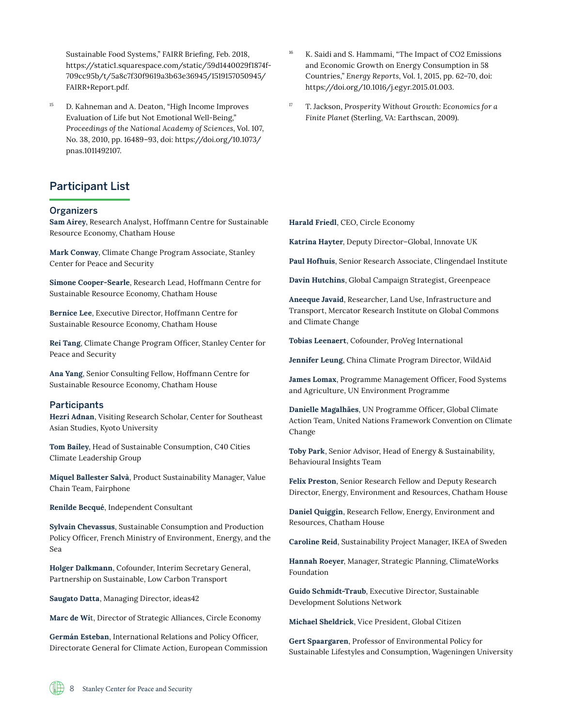Sustainable Food Systems," FAIRR Briefing, Feb. 2018, [https://static1.squarespace.com/static/59d1440029f1874f](https://static1.squarespace.com/static/59d1440029f1874f709cc95b/t/5a8c7f30f9619a3b63e36945/1519157050945/FAIRR+Report.pdf)-[709cc95b/t/5a8c7f30f9619a3b63e36945/1519157050945/](https://static1.squarespace.com/static/59d1440029f1874f709cc95b/t/5a8c7f30f9619a3b63e36945/1519157050945/FAIRR+Report.pdf) [FAIRR+Report.pdf](https://static1.squarespace.com/static/59d1440029f1874f709cc95b/t/5a8c7f30f9619a3b63e36945/1519157050945/FAIRR+Report.pdf)*.* 

<sup>15</sup> D. Kahneman and A. Deaton, "High Income Improves Evaluation of Life but Not Emotional Well-Being," *Proceedings of the National Academy of Sciences*, Vol. 107, No. 38, 2010, pp. 16489–93, doi: [https://doi.org/10.1073/](https://doi.org/10.1073/pnas.1011492107) [pnas.1011492107](https://doi.org/10.1073/pnas.1011492107)*.*

## Participant List

#### **Organizers**

**Sam Airey**, Research Analyst, Hoffmann Centre for Sustainable Resource Economy, Chatham House

**Mark Conway**, Climate Change Program Associate, Stanley Center for Peace and Security

**Simone Cooper-Searle**, Research Lead, Hoffmann Centre for Sustainable Resource Economy, Chatham House

**Bernice Lee**, Executive Director, Hoffmann Centre for Sustainable Resource Economy, Chatham House

**Rei Tang**, Climate Change Program Officer, Stanley Center for Peace and Security

**Ana Yang**, Senior Consulting Fellow, Hoffmann Centre for Sustainable Resource Economy, Chatham House

#### **Participants**

**Hezri Adnan**, Visiting Research Scholar, Center for Southeast Asian Studies, Kyoto University

**Tom Bailey**, Head of Sustainable Consumption, C40 Cities Climate Leadership Group

**Miquel Ballester Salvà**, Product Sustainability Manager, Value Chain Team, Fairphone

**Renilde Becqué**, Independent Consultant

**Sylvain Chevassus**, Sustainable Consumption and Production Policy Officer, French Ministry of Environment, Energy, and the Sea

**Holger Dalkmann**, Cofounder, Interim Secretary General, Partnership on Sustainable, Low Carbon Transport

**Saugato Datta**, Managing Director, ideas42

**Marc de Wi**t, Director of Strategic Alliances, Circle Economy

**Germán Esteban**, International Relations and Policy Officer, Directorate General for Climate Action, European Commission

- K. Saidi and S. Hammami, "The Impact of CO2 Emissions and Economic Growth on Energy Consumption in 58 Countries," *Energy Reports*, Vol. 1, 2015, pp. 62–70, doi: [https://doi.org/10.1016/j.egyr.2015.01.003.](https://doi.org/10.1016/j.egyr.2015.01.003)
- <sup>17</sup> T. Jackson, *Prosperity Without Growth: Economics for a Finite Planet* (Sterling, VA: Earthscan, 2009).

**Harald Friedl**, CEO, Circle Economy

**Katrina Hayter**, Deputy Director–Global, Innovate UK

**Paul Hofhuis**, Senior Research Associate, Clingendael Institute

**Davin Hutchins**, Global Campaign Strategist, Greenpeace

**Aneeque Javaid**, Researcher, Land Use, Infrastructure and Transport, Mercator Research Institute on Global Commons and Climate Change

**Tobias Leenaert**, Cofounder, ProVeg International

**Jennifer Leung**, China Climate Program Director, WildAid

**James Lomax**, Programme Management Officer, Food Systems and Agriculture, UN Environment Programme

**Danielle Magalhães**, UN Programme Officer, Global Climate Action Team, United Nations Framework Convention on Climate Change

**Toby Park**, Senior Advisor, Head of Energy & Sustainability, Behavioural Insights Team

**Felix Preston**, Senior Research Fellow and Deputy Research Director, Energy, Environment and Resources, Chatham House

**Daniel Quiggin**, Research Fellow, Energy, Environment and Resources, Chatham House

**Caroline Reid**, Sustainability Project Manager, IKEA of Sweden

**Hannah Roeyer**, Manager, Strategic Planning, ClimateWorks Foundation

**Guido Schmidt-Traub**, Executive Director, Sustainable Development Solutions Network

**Michael Sheldrick**, Vice President, Global Citizen

**Gert Spaargaren**, Professor of Environmental Policy for Sustainable Lifestyles and Consumption, Wageningen University